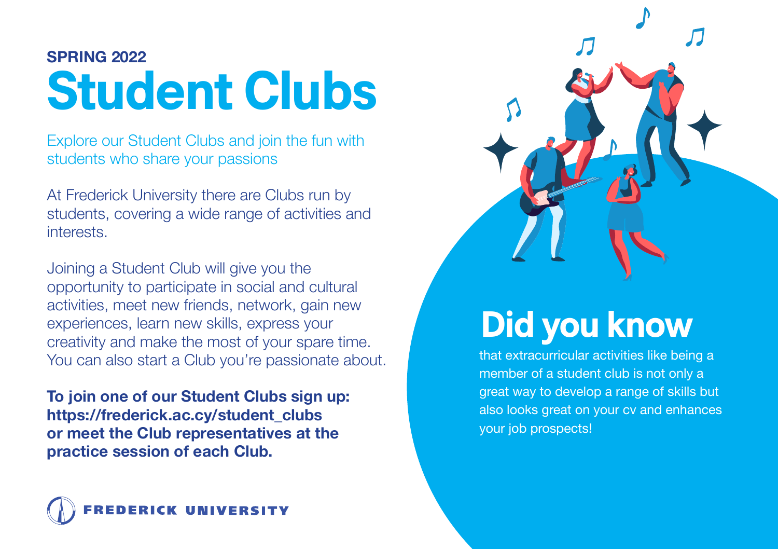## **SPRING 2022 Student Clubs**

Explore our Student Clubs and join the fun with students who share your passions

At Frederick University there are Clubs run by students, covering a wide range of activities and interests.

Joining a Student Club will give you the opportunity to participate in social and cultural activities, meet new friends, network, gain new experiences, learn new skills, express your creativity and make the most of your spare time. You can also start a Club you're passionate about.

**To join one of our Student Clubs sign up: https://frederick.ac.cy/student\_clubs or meet the Club representatives at the practice session of each Club.**





## **Did you know**

that extracurricular activities like being a member of a student club is not only a great way to develop a range of skills but also looks great on your cv and enhances your job prospects!